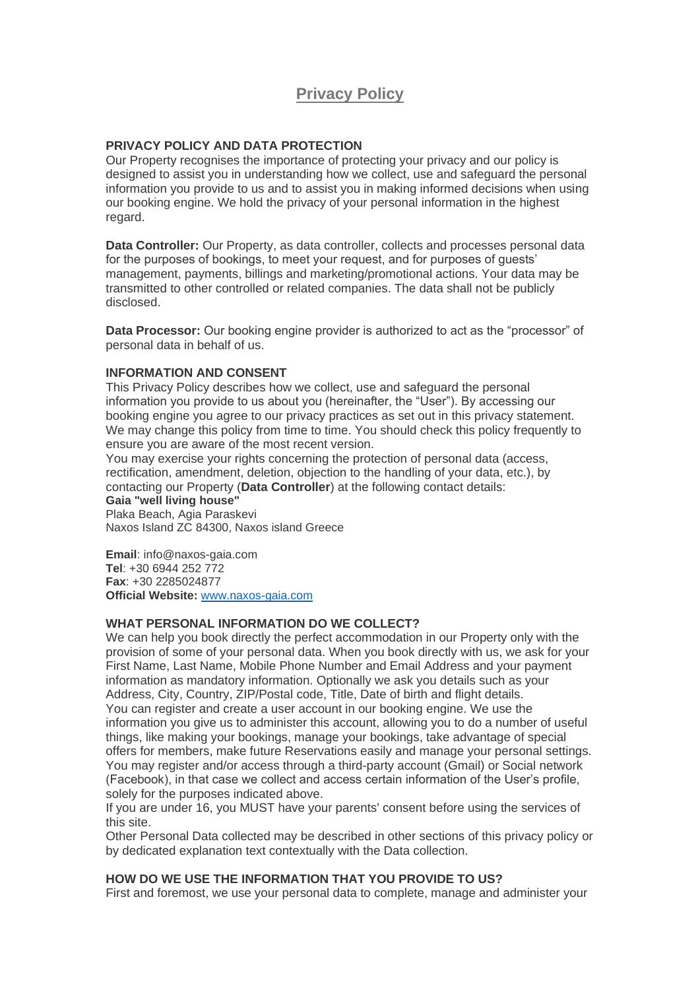# **Privacy Policy**

### **PRIVACY POLICY AND DATA PROTECTION**

Our Property recognises the importance of protecting your privacy and our policy is designed to assist you in understanding how we collect, use and safeguard the personal information you provide to us and to assist you in making informed decisions when using our booking engine. We hold the privacy of your personal information in the highest regard.

**Data Controller:** Our Property, as data controller, collects and processes personal data for the purposes of bookings, to meet your request, and for purposes of guests' management, payments, billings and marketing/promotional actions. Your data may be transmitted to other controlled or related companies. The data shall not be publicly disclosed.

**Data Processor:** Our booking engine provider is authorized to act as the "processor" of personal data in behalf of us.

#### **INFORMATION AND CONSENT**

This Privacy Policy describes how we collect, use and safeguard the personal information you provide to us about you (hereinafter, the "User"). By accessing our booking engine you agree to our privacy practices as set out in this privacy statement. We may change this policy from time to time. You should check this policy frequently to ensure you are aware of the most recent version.

You may exercise your rights concerning the protection of personal data (access, rectification, amendment, deletion, objection to the handling of your data, etc.), by contacting our Property (**Data Controller**) at the following contact details:

## **Gaia "well living house"**

Plaka Beach, Agia Paraskevi Naxos Island ZC 84300, Naxos island Greece

**Email**: info@naxos-gaia.com **Tel**: +30 6944 252 772 **Fax**: +30 2285024877 **Official Website:** <www.naxos-gaia.com>

#### **WHAT PERSONAL INFORMATION DO WE COLLECT?**

We can help you book directly the perfect accommodation in our Property only with the provision of some of your personal data. When you book directly with us, we ask for your First Name, Last Name, Mobile Phone Number and Email Address and your payment information as mandatory information. Optionally we ask you details such as your Address, City, Country, ZIP/Postal code, Title, Date of birth and flight details. You can register and create a user account in our booking engine. We use the information you give us to administer this account, allowing you to do a number of useful things, like making your bookings, manage your bookings, take advantage of special offers for members, make future Reservations easily and manage your personal settings. You may register and/or access through a third-party account (Gmail) or Social network (Facebook), in that case we collect and access certain information of the User's profile, solely for the purposes indicated above.

If you are under 16, you MUST have your parents' consent before using the services of this site.

Other Personal Data collected may be described in other sections of this privacy policy or by dedicated explanation text contextually with the Data collection.

#### **HOW DO WE USE THE INFORMATION THAT YOU PROVIDE TO US?**

First and foremost, we use your personal data to complete, manage and administer your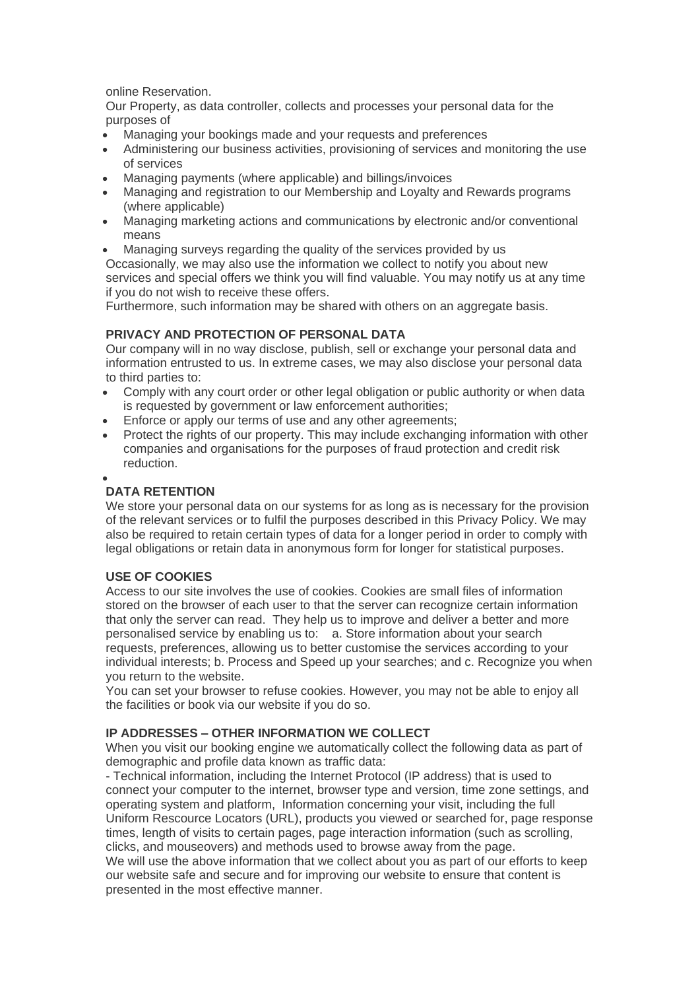online Reservation.

Our Property, as data controller, collects and processes your personal data for the purposes of

- Managing your bookings made and your requests and preferences
- Administering our business activities, provisioning of services and monitoring the use of services
- Managing payments (where applicable) and billings/invoices
- Managing and registration to our Membership and Loyalty and Rewards programs (where applicable)
- Managing marketing actions and communications by electronic and/or conventional means
- Managing surveys regarding the quality of the services provided by us

Occasionally, we may also use the information we collect to notify you about new services and special offers we think you will find valuable. You may notify us at any time if you do not wish to receive these offers.

Furthermore, such information may be shared with others on an aggregate basis.

## **PRIVACY AND PROTECTION OF PERSONAL DATA**

Our company will in no way disclose, publish, sell or exchange your personal data and information entrusted to us. In extreme cases, we may also disclose your personal data to third parties to:

- Comply with any court order or other legal obligation or public authority or when data is requested by government or law enforcement authorities;
- Enforce or apply our terms of use and any other agreements;
- Protect the rights of our property. This may include exchanging information with other companies and organisations for the purposes of fraud protection and credit risk reduction.
- •

## **DATA RETENTION**

We store your personal data on our systems for as long as is necessary for the provision of the relevant services or to fulfil the purposes described in this Privacy Policy. We may also be required to retain certain types of data for a longer period in order to comply with legal obligations or retain data in anonymous form for longer for statistical purposes.

## **USE OF COOKIES**

Access to our site involves the use of cookies. Cookies are small files of information stored on the browser of each user to that the server can recognize certain information that only the server can read. They help us to improve and deliver a better and more personalised service by enabling us to: a. Store information about your search requests, preferences, allowing us to better customise the services according to your individual interests; b. Process and Speed up your searches; and c. Recognize you when you return to the website.

You can set your browser to refuse cookies. However, you may not be able to enjoy all the facilities or book via our website if you do so.

#### **IP ADDRESSES – OTHER INFORMATION WE COLLECT**

When you visit our booking engine we automatically collect the following data as part of demographic and profile data known as traffic data:

- Technical information, including the Internet Protocol (IP address) that is used to connect your computer to the internet, browser type and version, time zone settings, and operating system and platform, Information concerning your visit, including the full Uniform Rescource Locators (URL), products you viewed or searched for, page response times, length of visits to certain pages, page interaction information (such as scrolling, clicks, and mouseovers) and methods used to browse away from the page. We will use the above information that we collect about you as part of our efforts to keep our website safe and secure and for improving our website to ensure that content is presented in the most effective manner.